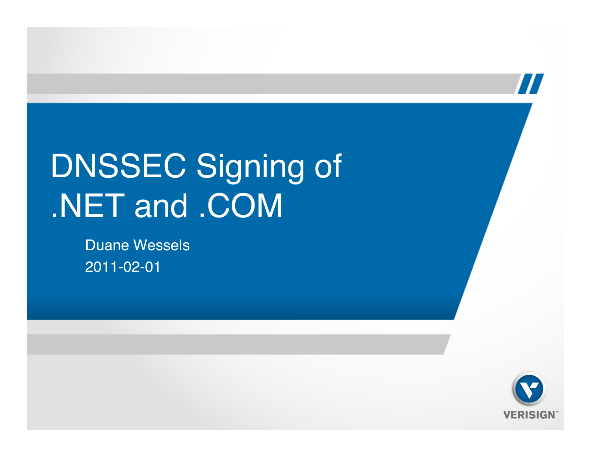### DNSSEC Signing of .NET and .COM

Duane Wessels 2011-02-01



 $\bm{\prime}$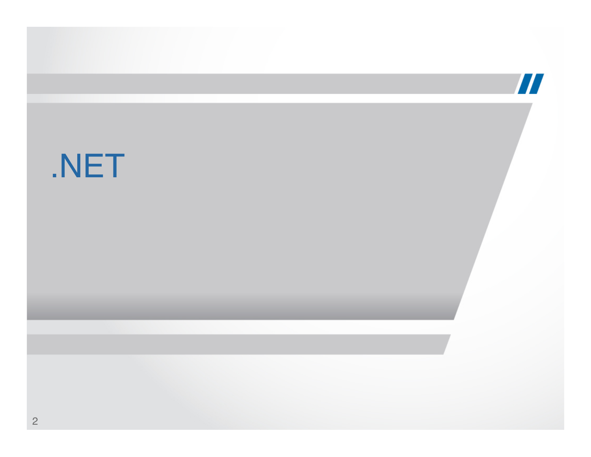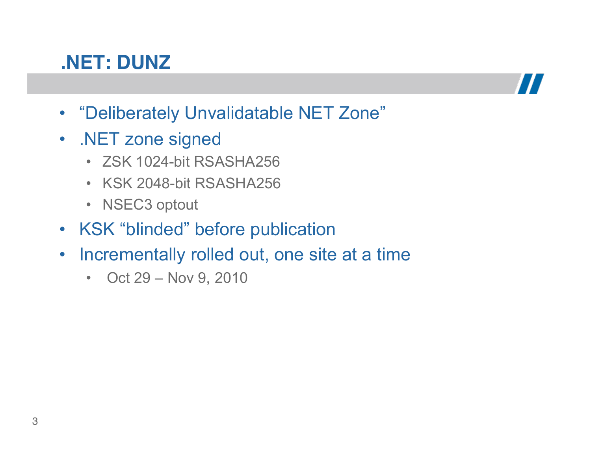#### **.NET: DUNZ**



- "Deliberately Unvalidatable NET Zone"
- .NET zone signed
	- ZSK 1024-bit RSASHA256
	- KSK 2048-bit RSASHA256
	- NSEC3 optout
- KSK "blinded" before publication
- Incrementally rolled out, one site at a time
	- Oct 29 Nov 9, 2010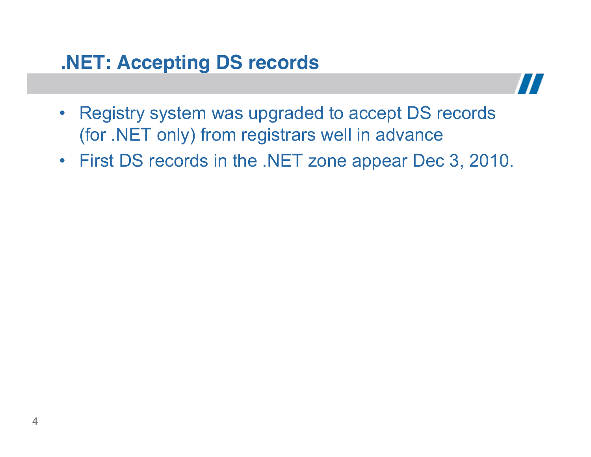### **.NET: Accepting DS records**



- Registry system was upgraded to accept DS records (for .NET only) from registrars well in advance
- First DS records in the .NET zone appear Dec 3, 2010.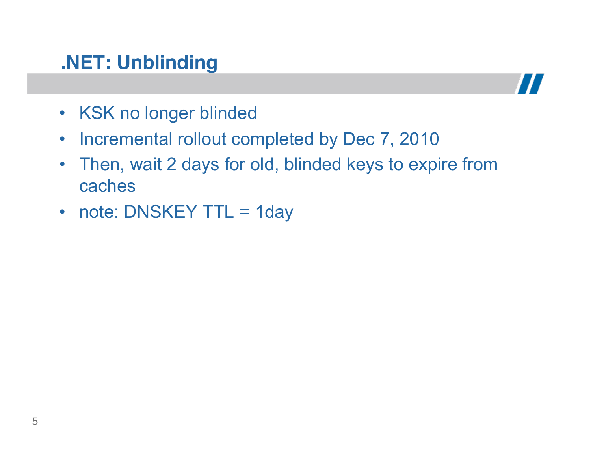#### **.NET: Unblinding**



- KSK no longer blinded
- Incremental rollout completed by Dec 7, 2010
- Then, wait 2 days for old, blinded keys to expire from caches
- note: DNSKEY TTL = 1day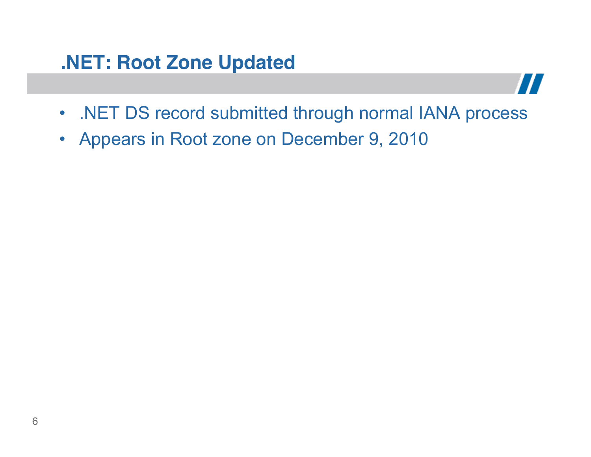#### **.NET: Root Zone Updated**

- .NET DS record submitted through normal IANA process
- Appears in Root zone on December 9, 2010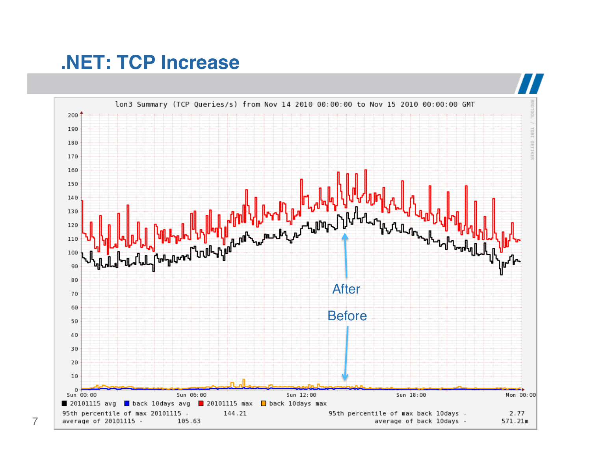#### **.NET: TCP Increase**

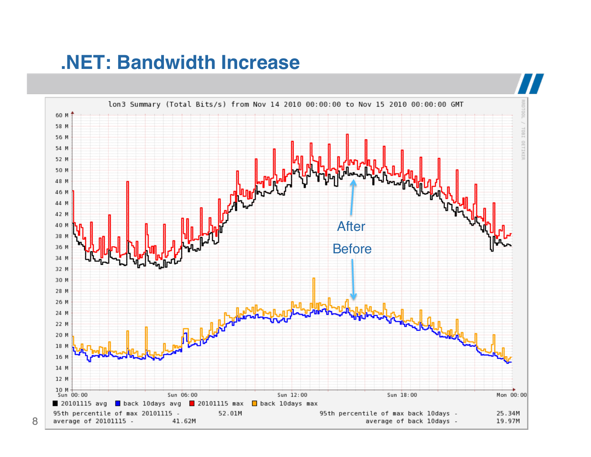#### **.NET: Bandwidth Increase**

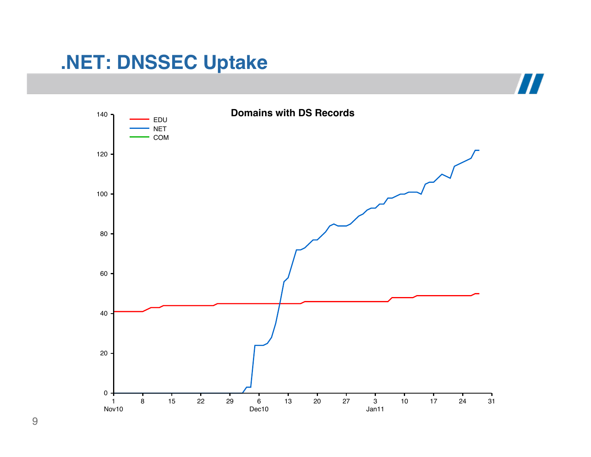#### **.NET: DNSSEC Uptake**

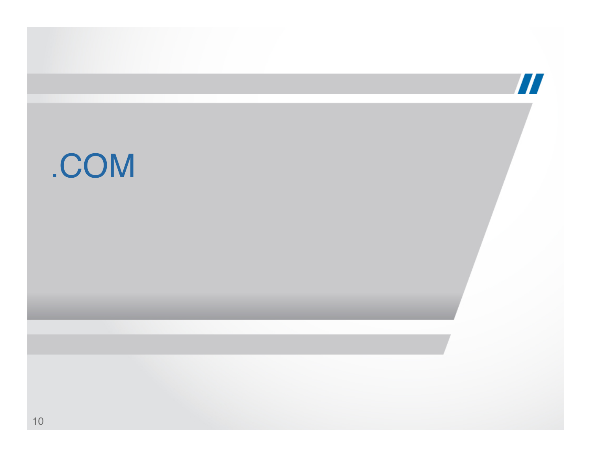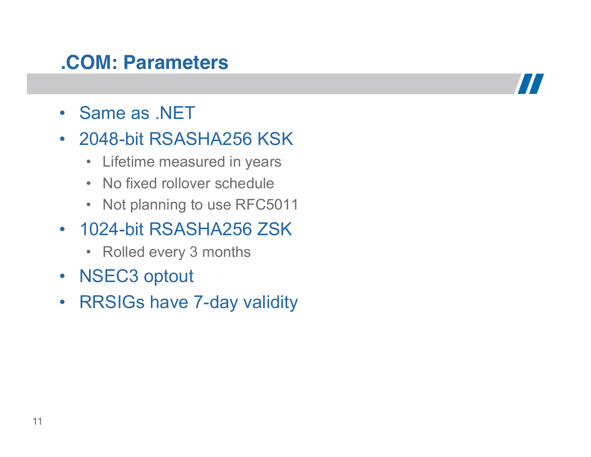#### **.COM: Parameters**

- Same as .NET
- 2048-bit RSASHA256 KSK
	- Lifetime measured in years
	- No fixed rollover schedule
	- Not planning to use RFC5011
- 1024-bit RSASHA256 ZSK
	- Rolled every 3 months
- NSEC3 optout
- RRSIGs have 7-day validity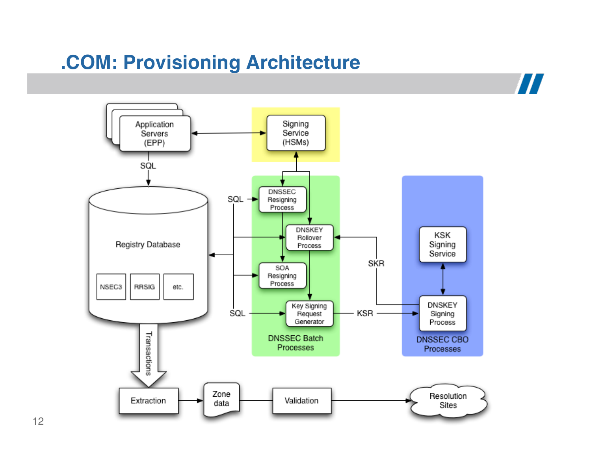### **.COM: Provisioning Architecture**

Application Signing Service Servers (HSMs) (EPP) SQL DNSSEC SQL Resigning Process **DNSKEY** KSK Rollover Registry Database Signing Process Service SKR SOA Resigning Process **RRSIG** NSEC3 etc. **DNSKEY** Key Signing SQL KSR Signing Request Generator Process Transactions **DNSSEC Batch DNSSEC CBO** Processes Processes Zone Resolution Extraction Validation data Sites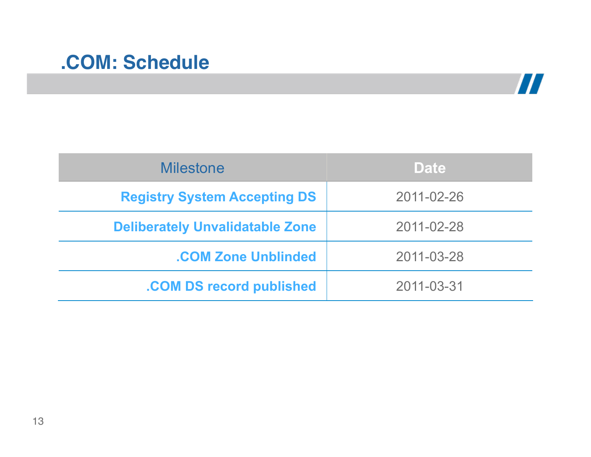#### **.COM: Schedule**



| <b>Milestone</b>                       | <b>Date</b> |
|----------------------------------------|-------------|
| <b>Registry System Accepting DS</b>    | 2011-02-26  |
| <b>Deliberately Unvalidatable Zone</b> | 2011-02-28  |
| <b>.COM Zone Unblinded</b>             | 2011-03-28  |
| .COM DS record published               | 2011-03-31  |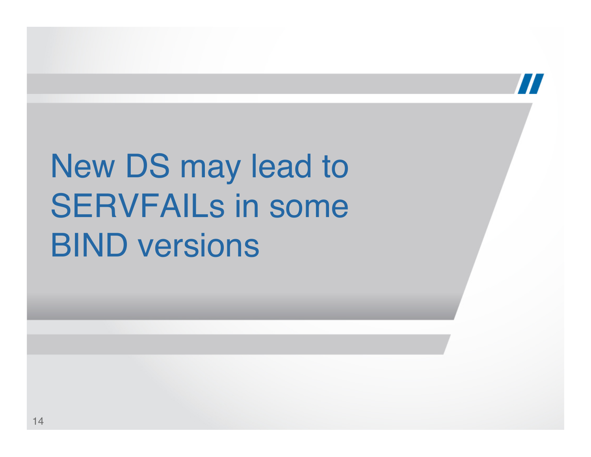## New DS may lead to SERVFAILs in some BIND versions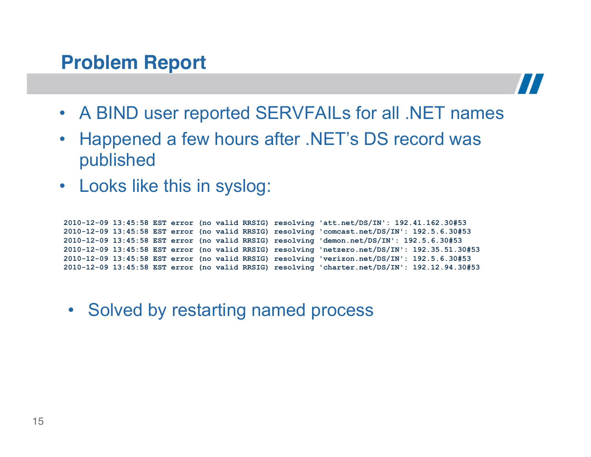#### **Problem Report**



- A BIND user reported SERVFAILs for all .NET names
- Happened a few hours after .NET's DS record was published
- Looks like this in syslog:

 **2010-12-09 13:45:58 EST error (no valid RRSIG) resolving 'att.net/DS/IN': 192.41.162.30#53 2010-12-09 13:45:58 EST error (no valid RRSIG) resolving 'comcast.net/DS/IN': 192.5.6.30#53 2010-12-09 13:45:58 EST error (no valid RRSIG) resolving 'demon.net/DS/IN': 192.5.6.30#53 2010-12-09 13:45:58 EST error (no valid RRSIG) resolving 'netzero.net/DS/IN': 192.35.51.30#53 2010-12-09 13:45:58 EST error (no valid RRSIG) resolving 'verizon.net/DS/IN': 192.5.6.30#53 2010-12-09 13:45:58 EST error (no valid RRSIG) resolving 'charter.net/DS/IN': 192.12.94.30#53** 

• Solved by restarting named process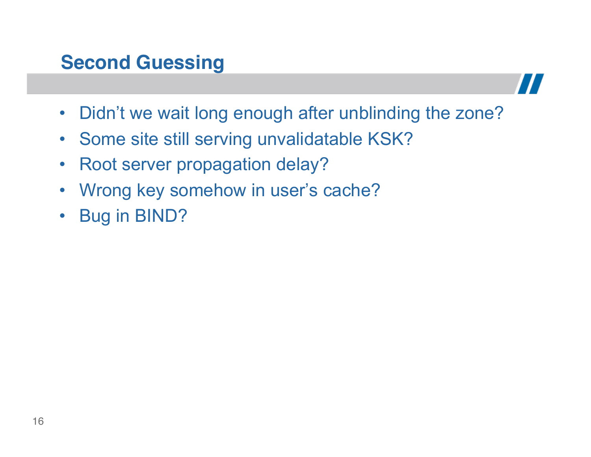### **Second Guessing**



- Didn't we wait long enough after unblinding the zone?
- Some site still serving unvalidatable KSK?
- Root server propagation delay?
- Wrong key somehow in user's cache?
- Bug in BIND?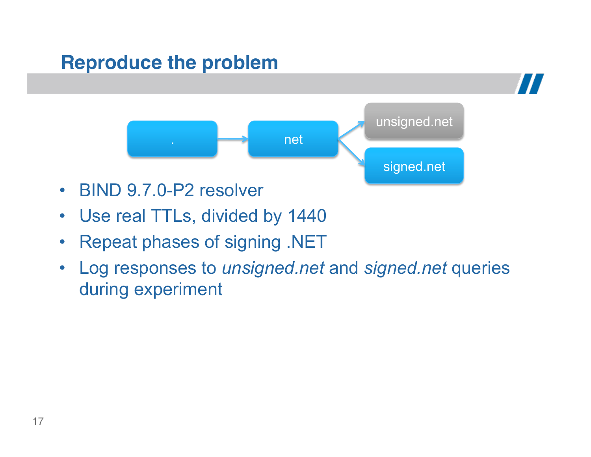#### **Reproduce the problem**



- BIND 9.7.0-P2 resolver
- Use real TTLs, divided by 1440
- Repeat phases of signing .NET
- Log responses to *unsigned.net* and *signed.net* queries during experiment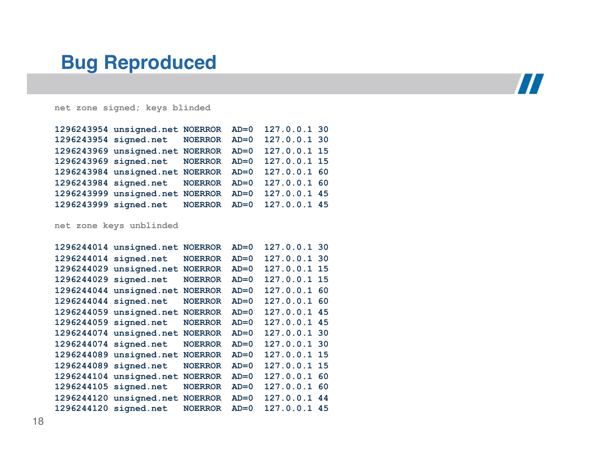#### **Bug Reproduced**



**net zone signed; keys blinded** 

| 1296243954 unsigned.net NOERROR AD=0 127.0.0.1 30 |  |              |  |
|---------------------------------------------------|--|--------------|--|
| 1296243954 signed.net NOERROR AD=0 127.0.0.1 30   |  |              |  |
| 1296243969 unsigned.net NOERROR AD=0 127.0.0.1 15 |  |              |  |
| 1296243969 signed.net NOERROR AD=0 127.0.0.1 15   |  |              |  |
| 1296243984 unsigned.net NOERROR AD=0              |  | 127.0.0.1 60 |  |
| 1296243984 signed.net NOERROR AD=0                |  | 127.0.0.1 60 |  |
| 1296243999 unsigned.net NOERROR AD=0              |  | 127.0.0.1 45 |  |
| 1296243999 signed.net NOERROR AD=0 127.0.0.1 45   |  |              |  |

**net zone keys unblinded** 

|                       | 1296244014 unsigned.net | <b>NOERROR</b> | $AD=0$ | 127.0.0.1 30 |    |
|-----------------------|-------------------------|----------------|--------|--------------|----|
| 1296244014 signed.net |                         | <b>NOERROR</b> | $AD=0$ | 127.0.0.1 30 |    |
|                       | 1296244029 unsigned.net | <b>NOERROR</b> | $AD=0$ | 127.0.0.1 15 |    |
| 1296244029 signed.net |                         | <b>NOERROR</b> | $AD=0$ | 127.0.0.1    | 15 |
|                       | 1296244044 unsigned.net | <b>NOERROR</b> | $AD=0$ | 127.0.0.1    | 60 |
| 1296244044 signed.net |                         | <b>NOERROR</b> | $AD=0$ | 127.0.0.1 60 |    |
|                       | 1296244059 unsigned.net | <b>NOERROR</b> | $AD=0$ | 127.0.0.1    | 45 |
| 1296244059 signed.net |                         | <b>NOERROR</b> | $AD=0$ | 127.0.0.1    | 45 |
|                       | 1296244074 unsigned.net | <b>NOERROR</b> | $AD=0$ | 127.0.0.1 30 |    |
| 1296244074 signed.net |                         | <b>NOERROR</b> | $AD=0$ | 127.0.0.1 30 |    |
|                       | 1296244089 unsigned.net | <b>NOERROR</b> | $AD=0$ | 127.0.0.1 15 |    |
| 1296244089 signed.net |                         | <b>NOERROR</b> | $AD=0$ | 127.0.0.1 15 |    |
| 1296244104            | unsigned.net            | <b>NOERROR</b> | $AD=0$ | 127.0.0.1    | 60 |
| 1296244105 signed.net |                         | <b>NOERROR</b> | $AD=0$ | 127.0.0.1 60 |    |
|                       | 1296244120 unsigned.net | <b>NOERROR</b> | $AD=0$ | 127.0.0.1    | 44 |
| 1296244120 signed.net |                         | <b>NOERROR</b> | $AD=0$ | 127.0.0.1    | 45 |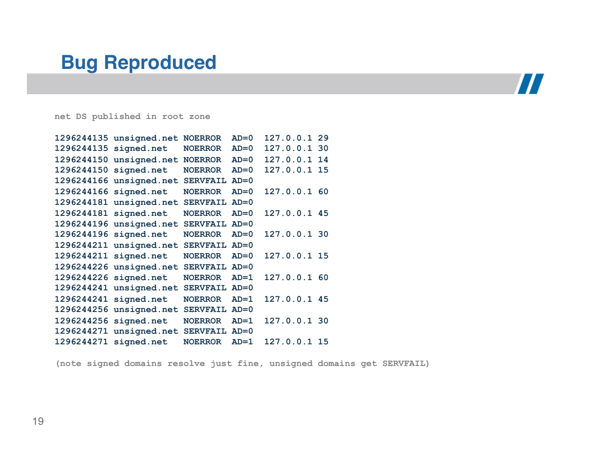#### **Bug Reproduced**

### $\boldsymbol{H}$

**net DS published in root zone** 

|                       | 1296244135 unsigned.net | <b>NOERROR</b>  | $AD=0$ | 127.0.0.1 29 |  |
|-----------------------|-------------------------|-----------------|--------|--------------|--|
| 1296244135 signed.net |                         | <b>NOERROR</b>  | $AD=0$ | 127.0.0.1 30 |  |
|                       | 1296244150 unsigned.net | <b>NOERROR</b>  | $AD=0$ | 127.0.0.1 14 |  |
| 1296244150 signed.net |                         | <b>NOERROR</b>  | $AD=0$ | 127.0.0.1 15 |  |
|                       | 1296244166 unsigned.net | <b>SERVFAIL</b> | $AD=0$ |              |  |
| 1296244166 signed.net |                         | <b>NOERROR</b>  | $AD=0$ | 127.0.0.1 60 |  |
|                       | 1296244181 unsigned.net | SERVFAIL AD=0   |        |              |  |
| 1296244181 signed.net |                         | <b>NOERROR</b>  | $AD=0$ | 127.0.0.1 45 |  |
|                       | 1296244196 unsigned.net | <b>SERVFAIL</b> | $AD=0$ |              |  |
| 1296244196 signed.net |                         | <b>NOERROR</b>  | $AD=0$ | 127.0.0.1 30 |  |
|                       | 1296244211 unsigned.net | SERVFAIL AD=0   |        |              |  |
| 1296244211 signed.net |                         | <b>NOERROR</b>  | $AD=0$ | 127.0.0.1 15 |  |
|                       | 1296244226 unsigned.net | SERVFAIL AD=0   |        |              |  |
| 1296244226 signed.net |                         | <b>NOERROR</b>  | $AD=1$ | 127.0.0.1 60 |  |
|                       | 1296244241 unsigned.net | <b>SERVFAIL</b> | $AD=0$ |              |  |
| 1296244241 signed.net |                         | <b>NOERROR</b>  | $AD=1$ | 127.0.0.1 45 |  |
|                       | 1296244256 unsigned.net | SERVFAIL AD=0   |        |              |  |
| 1296244256 signed.net |                         | <b>NOERROR</b>  | $AD=1$ | 127.0.0.1 30 |  |
|                       | 1296244271 unsigned.net | SERVFAIL AD=0   |        |              |  |
| 1296244271 signed.net |                         | <b>NOERROR</b>  | $AD=1$ | 127.0.0.1 15 |  |

**(note signed domains resolve just fine, unsigned domains get SERVFAIL)**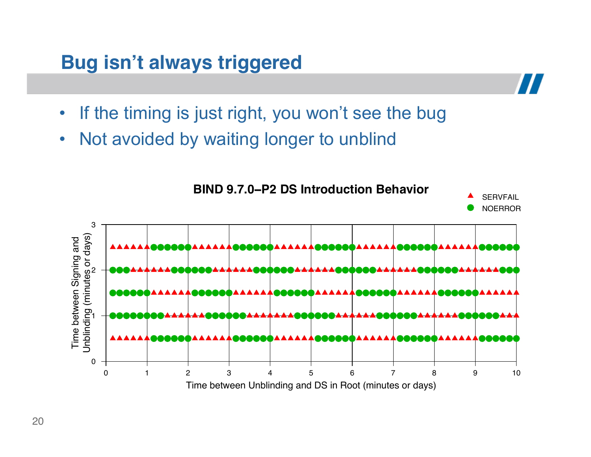#### **Bug isn't always triggered**

- If the timing is just right, you won't see the bug
- Not avoided by waiting longer to unblind

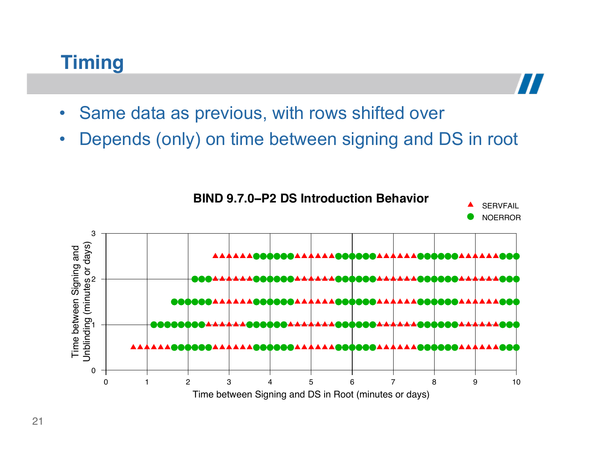#### **Timing**

- Same data as previous, with rows shifted over
- Depends (only) on time between signing and DS in root

 $\bm{H}$ 

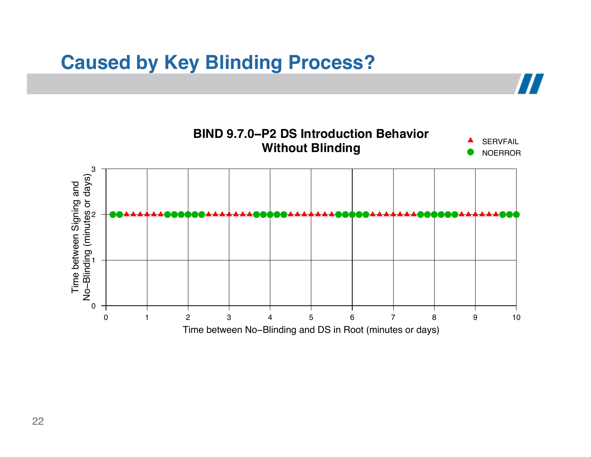#### **Caused by Key Blinding Process?**

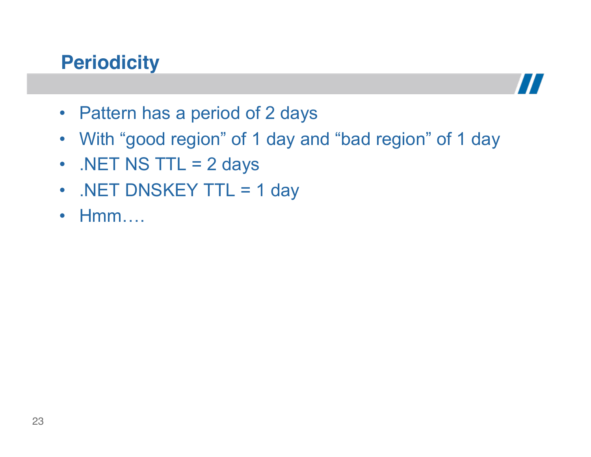#### **Periodicity**



- Pattern has a period of 2 days
- With "good region" of 1 day and "bad region" of 1 day
- $\cdot$  .NET NS TTL = 2 days
- .NET DNSKEY TTL = 1 day
- Hmm….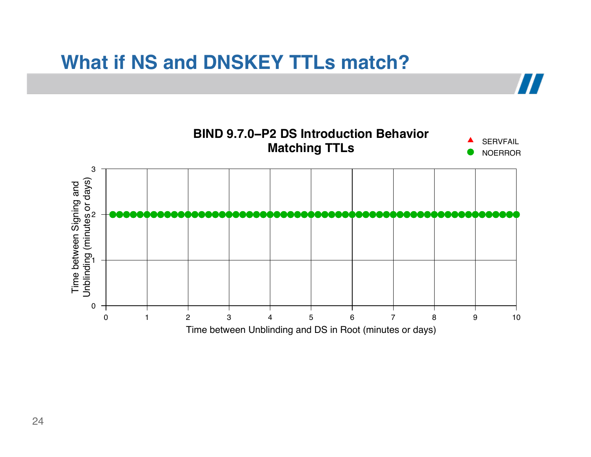#### **What if NS and DNSKEY TTLs match?**

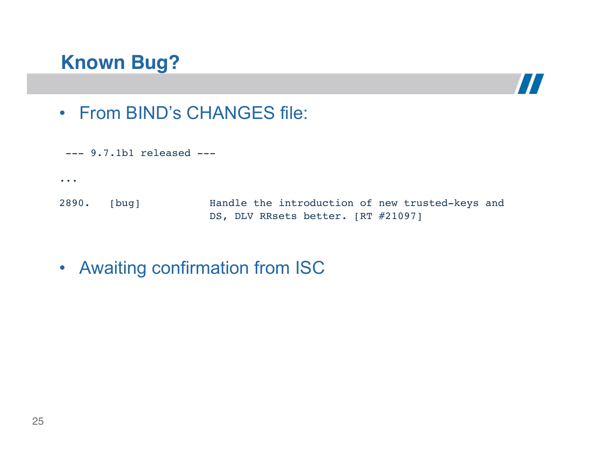#### **Known Bug?**



• From BIND's CHANGES file:

```
--- 9.7.1b1 released ---...
2890. [bug] Handle the introduction of new trusted-keys and
                       DS, DLV RRsets better. [RT #21097]
```
• Awaiting confirmation from ISC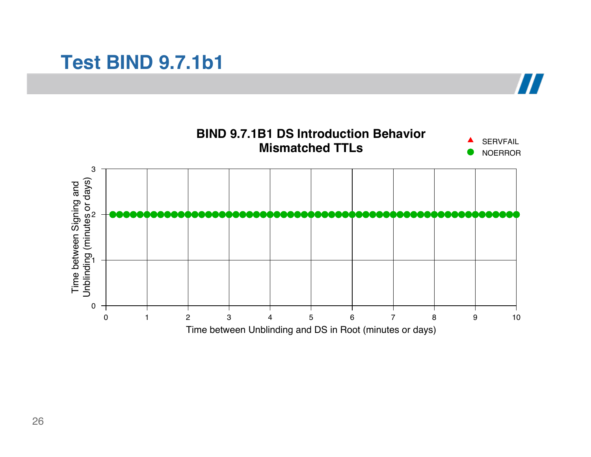#### **Test BIND 9.7.1b1**

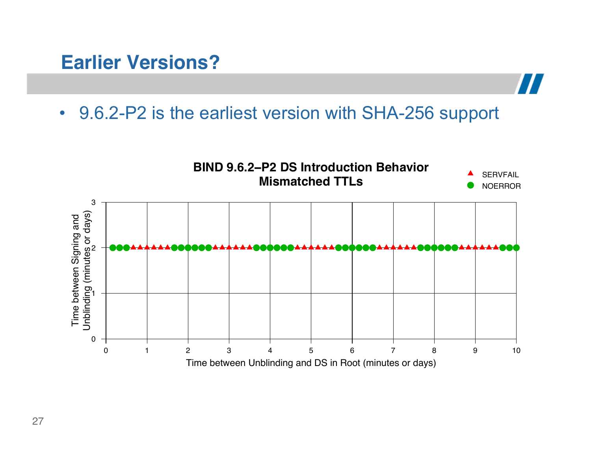#### **Earlier Versions?**

• 9.6.2-P2 is the earliest version with SHA-256 support

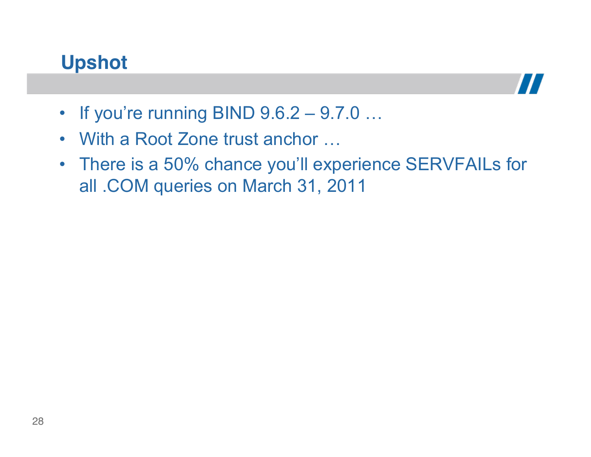#### **Upshot**



- If you're running BIND  $9.6.2 9.7.0 ...$
- With a Root Zone trust anchor …
- There is a 50% chance you'll experience SERVFAILs for all .COM queries on March 31, 2011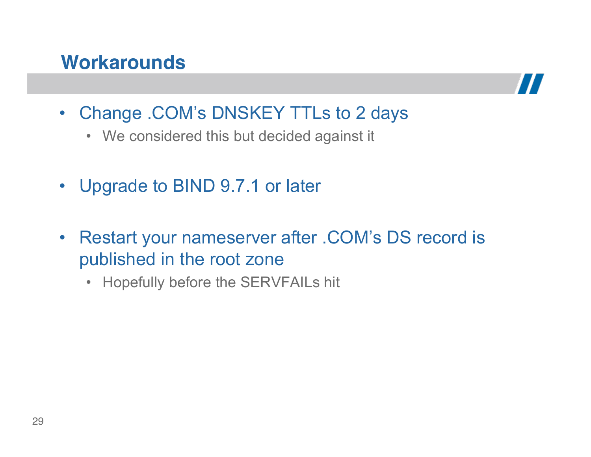#### **Workarounds**



- Change .COM's DNSKEY TTLs to 2 days
	- We considered this but decided against it
- Upgrade to BIND 9.7.1 or later
- Restart your nameserver after .COM's DS record is published in the root zone
	- Hopefully before the SERVFAILs hit